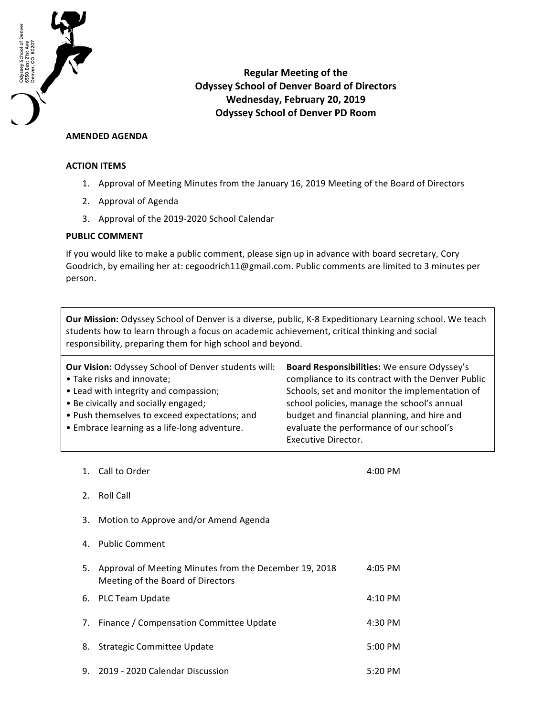

**Regular Meeting of the Odyssey School of Denver Board of Directors Wednesday, February 20, 2019 Odyssey School of Denver PD Room**

## **AMENDED AGENDA**

## **ACTION ITEMS**

- 1. Approval of Meeting Minutes from the January 16, 2019 Meeting of the Board of Directors
- 2. Approval of Agenda
- 3. Approval of the 2019-2020 School Calendar

## **PUBLIC COMMENT**

If you would like to make a public comment, please sign up in advance with board secretary, Cory Goodrich, by emailing her at: cegoodrich11@gmail.com. Public comments are limited to 3 minutes per person.

**Our Mission:** Odyssey School of Denver is a diverse, public, K-8 Expeditionary Learning school. We teach students how to learn through a focus on academic achievement, critical thinking and social responsibility, preparing them for high school and beyond.

| <b>Our Vision: Odyssey School of Denver students will:</b> | Board Responsibilities: We ensure Odyssey's       |
|------------------------------------------------------------|---------------------------------------------------|
| • Take risks and innovate;                                 | compliance to its contract with the Denver Public |
| • Lead with integrity and compassion;                      | Schools, set and monitor the implementation of    |
| • Be civically and socially engaged;                       | school policies, manage the school's annual       |
| • Push themselves to exceed expectations; and              | budget and financial planning, and hire and       |
| • Embrace learning as a life-long adventure.               | evaluate the performance of our school's          |
|                                                            | <b>Executive Director.</b>                        |

1. Call to Order 4:00 PM 2. Roll Call 3. Motion to Approve and/or Amend Agenda 4. Public Comment 5. Approval of Meeting Minutes from the December 19, 2018 Meeting of the Board of Directors 4:05 PM 6. PLC Team Update **4:10 PM** 7. Finance / Compensation Committee Update 4:30 PM 8. Strategic Committee Update **5:00 PM** 9. 2019 - 2020 Calendar Discussion 5:20 PM